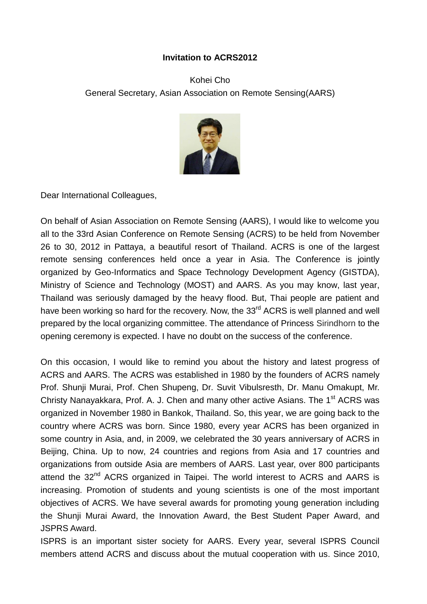## **Invitation to ACRS2012**

Kohei Cho General Secretary, Asian Association on Remote Sensing(AARS)



Dear International Colleagues,

On behalf of Asian Association on Remote Sensing (AARS), I would like to welcome you all to the 33rd Asian Conference on Remote Sensing (ACRS) to be held from November 26 to 30, 2012 in Pattaya, a beautiful resort of Thailand. ACRS is one of the largest remote sensing conferences held once a year in Asia. The Conference is jointly organized by Geo-Informatics and Space Technology Development Agency (GISTDA), Ministry of Science and Technology (MOST) and AARS. As you may know, last year, Thailand was seriously damaged by the heavy flood. But, Thai people are patient and have been working so hard for the recovery. Now, the 33<sup>rd</sup> ACRS is well planned and well prepared by the local organizing committee. The attendance of Princess Sirindhorn to the opening ceremony is expected. I have no doubt on the success of the conference.

On this occasion, I would like to remind you about the history and latest progress of ACRS and AARS. The ACRS was established in 1980 by the founders of ACRS namely Prof. Shunji Murai, Prof. Chen Shupeng, Dr. Suvit Vibulsresth, Dr. Manu Omakupt, Mr. Christy Nanayakkara, Prof. A. J. Chen and many other active Asians. The 1<sup>st</sup> ACRS was organized in November 1980 in Bankok, Thailand. So, this year, we are going back to the country where ACRS was born. Since 1980, every year ACRS has been organized in some country in Asia, and, in 2009, we celebrated the 30 years anniversary of ACRS in Beijing, China. Up to now, 24 countries and regions from Asia and 17 countries and organizations from outside Asia are members of AARS. Last year, over 800 participants attend the 32<sup>nd</sup> ACRS organized in Taipei. The world interest to ACRS and AARS is increasing. Promotion of students and young scientists is one of the most important objectives of ACRS. We have several awards for promoting young generation including the Shunji Murai Award, the Innovation Award, the Best Student Paper Award, and JSPRS Award.

ISPRS is an important sister society for AARS. Every year, several ISPRS Council members attend ACRS and discuss about the mutual cooperation with us. Since 2010,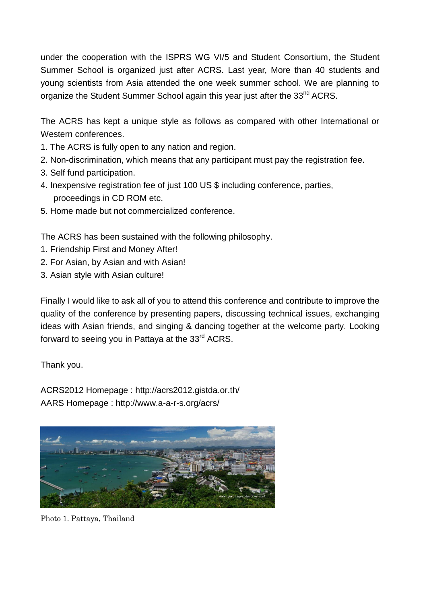under the cooperation with the ISPRS WG VI/5 and Student Consortium, the Student Summer School is organized just after ACRS. Last year, More than 40 students and young scientists from Asia attended the one week summer school. We are planning to organize the Student Summer School again this year just after the 33<sup>nd</sup> ACRS.

The ACRS has kept a unique style as follows as compared with other International or Western conferences.

- 1. The ACRS is fully open to any nation and region.
- 2. Non-discrimination, which means that any participant must pay the registration fee.
- 3. Self fund participation.
- 4. Inexpensive registration fee of just 100 US \$ including conference, parties, proceedings in CD ROM etc.
- 5. Home made but not commercialized conference.

The ACRS has been sustained with the following philosophy.

- 1. Friendship First and Money After!
- 2. For Asian, by Asian and with Asian!
- 3. Asian style with Asian culture!

Finally I would like to ask all of you to attend this conference and contribute to improve the quality of the conference by presenting papers, discussing technical issues, exchanging ideas with Asian friends, and singing & dancing together at the welcome party. Looking forward to seeing you in Pattaya at the  $33<sup>rd</sup>$  ACRS.

Thank you.

ACRS2012 Homepage : http://acrs2012.gistda.or.th/ AARS Homepage : http://www.a-a-r-s.org/acrs/



Photo 1. Pattaya, Thailand